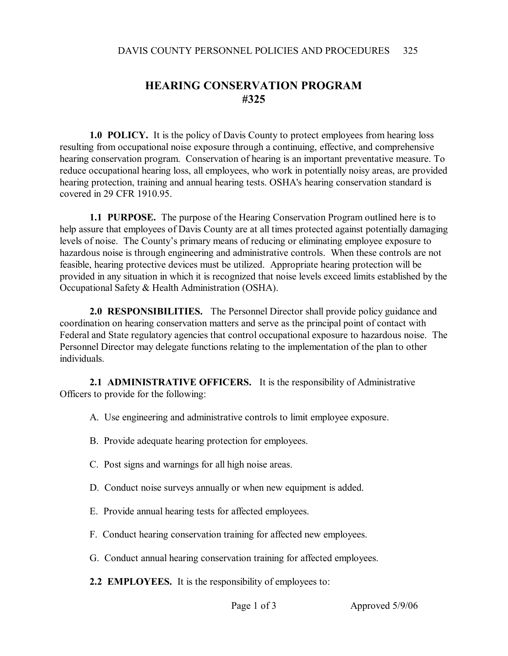## **HEARING CONSERVATION PROGRAM #325**

**1.0 POLICY.** It is the policy of Davis County to protect employees from hearing loss resulting from occupational noise exposure through a continuing, effective, and comprehensive hearing conservation program. Conservation of hearing is an important preventative measure. To reduce occupational hearing loss, all employees, who work in potentially noisy areas, are provided hearing protection, training and annual hearing tests. OSHA's hearing conservation standard is covered in 29 CFR 1910.95.

**1.1 PURPOSE.** The purpose of the Hearing Conservation Program outlined here is to help assure that employees of Davis County are at all times protected against potentially damaging levels of noise. The County's primary means of reducing or eliminating employee exposure to hazardous noise is through engineering and administrative controls. When these controls are not feasible, hearing protective devices must be utilized. Appropriate hearing protection will be provided in any situation in which it is recognized that noise levels exceed limits established by the Occupational Safety & Health Administration (OSHA).

**2.0 RESPONSIBILITIES.** The Personnel Director shall provide policy guidance and coordination on hearing conservation matters and serve as the principal point of contact with Federal and State regulatory agencies that control occupational exposure to hazardous noise. The Personnel Director may delegate functions relating to the implementation of the plan to other individuals.

**2.1 ADMINISTRATIVE OFFICERS.** It is the responsibility of Administrative Officers to provide for the following:

A. Use engineering and administrative controls to limit employee exposure.

- B. Provide adequate hearing protection for employees.
- C. Post signs and warnings for all high noise areas.
- D. Conduct noise surveys annually or when new equipment is added.
- E. Provide annual hearing tests for affected employees.
- F. Conduct hearing conservation training for affected new employees.
- G. Conduct annual hearing conservation training for affected employees.

**2.2 EMPLOYEES.** It is the responsibility of employees to: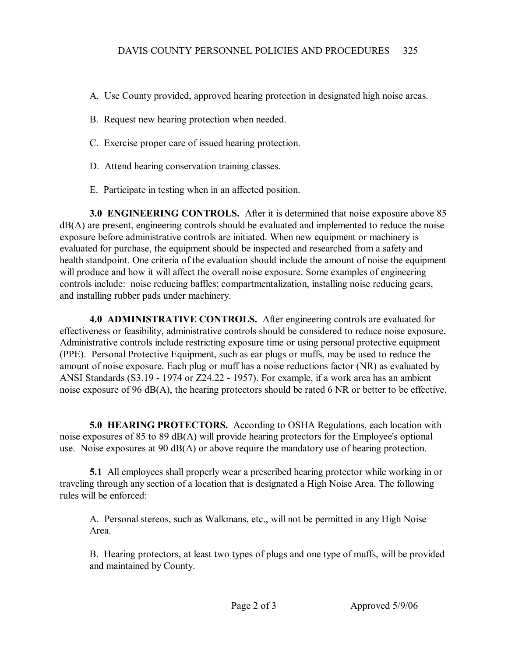- A. Use County provided, approved hearing protection in designated high noise areas.
- B. Request new hearing protection when needed.
- C. Exercise proper care of issued hearing protection.
- D. Attend hearing conservation training classes.
- E. Participate in testing when in an affected position.

**3.0 ENGINEERING CONTROLS.** After it is determined that noise exposure above 85 dB(A) are present, engineering controls should be evaluated and implemented to reduce the noise exposure before administrative controls are initiated. When new equipment or machinery is evaluated for purchase, the equipment should be inspected and researched from a safety and health standpoint. One criteria of the evaluation should include the amount of noise the equipment will produce and how it will affect the overall noise exposure. Some examples of engineering controls include: noise reducing baffles; compartmentalization, installing noise reducing gears, and installing rubber pads under machinery.

**4.0 ADMINISTRATIVE CONTROLS.** After engineering controls are evaluated for effectiveness or feasibility, administrative controls should be considered to reduce noise exposure. Administrative controls include restricting exposure time or using personal protective equipment (PPE). Personal Protective Equipment, such as ear plugs or muffs, may be used to reduce the amount of noise exposure. Each plug or muff has a noise reductions factor (NR) as evaluated by ANSI Standards (S3.19 - 1974 or Z24.22 - 1957). For example, if a work area has an ambient noise exposure of 96 dB(A), the hearing protectors should be rated 6 NR or better to be effective.

**5.0 HEARING PROTECTORS.** According to OSHA Regulations, each location with noise exposures of 85 to 89 dB(A) will provide hearing protectors for the Employee's optional use. Noise exposures at 90 dB(A) or above require the mandatory use of hearing protection.

**5.1** All employees shall properly wear a prescribed hearing protector while working in or traveling through any section of a location that is designated a High Noise Area. The following rules will be enforced:

A. Personal stereos, such as Walkmans, etc., will not be permitted in any High Noise Area.

B. Hearing protectors, at least two types of plugs and one type of muffs, will be provided and maintained by County.